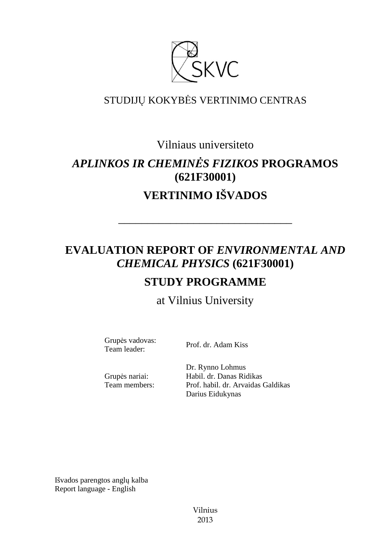

## STUDIJŲ KOKYBĖS VERTINIMO CENTRAS

Vilniaus universiteto

# *APLINKOS IR CHEMINĖS FIZIKOS* **PROGRAMOS (621F30001) VERTINIMO IŠVADOS**

## **EVALUATION REPORT OF** *ENVIRONMENTAL AND CHEMICAL PHYSICS* **(621F30001) STUDY PROGRAMME**

––––––––––––––––––––––––––––––

## at Vilnius University

Grupės vadovas: Team leader: Prof. dr. Adam Kiss

Grupės nariai: Team members: Dr. Rynno Lohmus Habil. dr. Danas Ridikas Prof. habil. dr. Arvaidas Galdikas Darius Eidukynas

Išvados parengtos anglų kalba Report language - English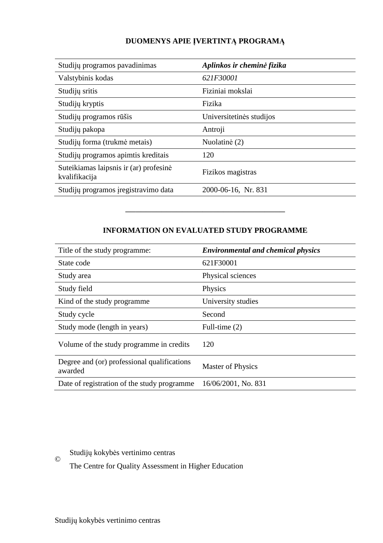### **DUOMENYS APIE ĮVERTINTĄ PROGRAMĄ**

| Studijų programos pavadinimas                           | Aplinkos ir cheminė fizika |
|---------------------------------------------------------|----------------------------|
| Valstybinis kodas                                       | 621F30001                  |
| Studijų sritis                                          | Fiziniai mokslai           |
| Studijų kryptis                                         | Fizika                     |
| Studijų programos rūšis                                 | Universitetinės studijos   |
| Studijų pakopa                                          | Antroji                    |
| Studijų forma (trukmė metais)                           | Nuolatinė (2)              |
| Studijų programos apimtis kreditais                     | 120                        |
| Suteikiamas laipsnis ir (ar) profesinė<br>kvalifikacija | Fizikos magistras          |
| Studijų programos įregistravimo data                    | 2000-06-16, Nr. 831        |

### **INFORMATION ON EVALUATED STUDY PROGRAMME**

–––––––––––––––––––––––––––––––

| Title of the study programme:                          | <b>Environmental and chemical physics</b> |
|--------------------------------------------------------|-------------------------------------------|
| State code                                             | 621F30001                                 |
| Study area                                             | Physical sciences                         |
| Study field                                            | Physics                                   |
| Kind of the study programme                            | University studies                        |
| Study cycle                                            | Second                                    |
| Study mode (length in years)                           | Full-time (2)                             |
| Volume of the study programme in credits               | 120                                       |
| Degree and (or) professional qualifications<br>awarded | <b>Master of Physics</b>                  |
| Date of registration of the study programme            | 16/06/2001, No. 831                       |

### Studijų kokybės vertinimo centras

©

The Centre for Quality Assessment in Higher Education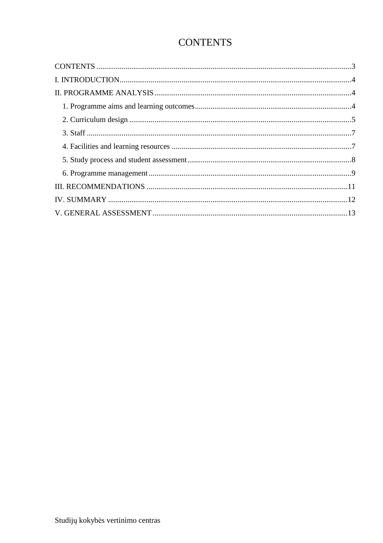## **CONTENTS**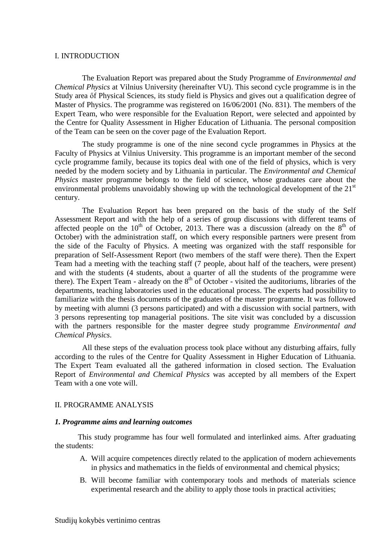#### I. INTRODUCTION

The Evaluation Report was prepared about the Study Programme of *Environmental and Chemical Physics* at Vilnius University (hereinafter VU). This second cycle programme is in the Study area őf Physical Sciences, its study field is Physics and gives out a qualification degree of Master of Physics. The programme was registered on 16/06/2001 (No. 831). The members of the Expert Team, who were responsible for the Evaluation Report, were selected and appointed by the Centre for Quality Assessment in Higher Education of Lithuania. The personal composition of the Team can be seen on the cover page of the Evaluation Report.

 The study programme is one of the nine second cycle programmes in Physics at the Faculty of Physics at Vilnius University. This programme is an important member of the second cycle programme family, because its topics deal with one of the field of physics, which is very needed by the modern society and by Lithuania in particular. The *Environmental and Chemical Physics* master programme belongs to the field of science, whose graduates care about the environmental problems unavoidably showing up with the technological development of the 21<sup>st</sup> century.

 The Evaluation Report has been prepared on the basis of the study of the Self Assessment Report and with the help of a series of group discussions with different teams of affected people on the  $10^{th}$  of October, 2013. There was a discussion (already on the  $8^{th}$  of October) with the administration staff, on which every responsible partners were present from the side of the Faculty of Physics. A meeting was organized with the staff responsible for preparation of Self-Assessment Report (two members of the staff were there). Then the Expert Team had a meeting with the teaching staff (7 people, about half of the teachers, were present) and with the students (4 students, about a quarter of all the students of the programme were there). The Expert Team - already on the 8<sup>th</sup> of October - visited the auditoriums, libraries of the departments, teaching laboratories used in the educational process. The experts had possibility to familiarize with the thesis documents of the graduates of the master programme. It was followed by meeting with alumni (3 persons participated) and with a discussion with social partners, with 3 persons representing top managerial positions. The site visit was concluded by a discussion with the partners responsible for the master degree study programme *Environmental and Chemical Physics*.

 All these steps of the evaluation process took place without any disturbing affairs, fully according to the rules of the Centre for Quality Assessment in Higher Education of Lithuania. The Expert Team evaluated all the gathered information in closed section. The Evaluation Report of *Environmental and Chemical Physics* was accepted by all members of the Expert Team with a one vote will.

#### II. PROGRAMME ANALYSIS

#### *1. Programme aims and learning outcomes*

This study programme has four well formulated and interlinked aims. After graduating the students:

- A. Will acquire competences directly related to the application of modern achievements in physics and mathematics in the fields of environmental and chemical physics;
- B. Will become familiar with contemporary tools and methods of materials science experimental research and the ability to apply those tools in practical activities;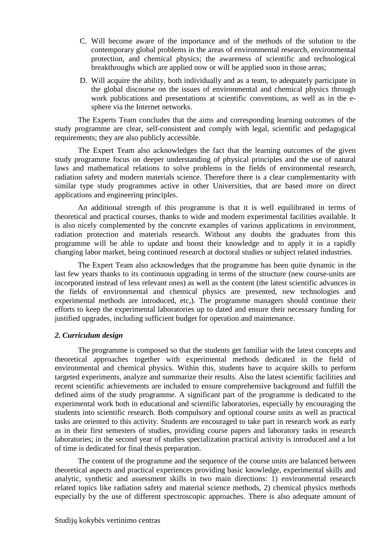- C. Will become aware of the importance and of the methods of the solution to the contemporary global problems in the areas of environmental research, environmental protection, and chemical physics; the awareness of scientific and technological breakthroughs which are applied now or will be applied soon in those areas;
- D. Will acquire the ability, both individually and as a team, to adequately participate in the global discourse on the issues of environmental and chemical physics through work publications and presentations at scientific conventions, as well as in the esphere via the Internet networks.

The Experts Team concludes that the aims and corresponding learning outcomes of the study programme are clear, self-consistent and comply with legal, scientific and pedagogical requirements; they are also publicly accessible.

The Expert Team also acknowledges the fact that the learning outcomes of the given study programme focus on deeper understanding of physical principles and the use of natural laws and mathematical relations to solve problems in the fields of environmental research, radiation safety and modern materials science. Therefore there is a clear complementarity with similar type study programmes active in other Universities, that are based more on direct applications and engineering principles.

An additional strength of this programme is that it is well equilibrated in terms of theoretical and practical courses, thanks to wide and modern experimental facilities available. It is also nicely complemented by the concrete examples of various applications in environment, radiation protection and materials research. Without any doubts the graduates from this programme will be able to update and boost their knowledge and to apply it in a rapidly changing labor market, being continued research at doctoral studies or subject related industries.

The Expert Team also acknowledges that the programme has been quite dynamic in the last few years thanks to its continuous upgrading in terms of the structure (new course-units are incorporated instead of less relevant ones) as well as the content (the latest scientific advances in the fields of environmental and chemical physics are presented, new technologies and experimental methods are introduced, etc,). The programme managers should continue their efforts to keep the experimental laboratories up to dated and ensure their necessary funding for justified upgrades, including sufficient budget for operation and maintenance.

#### *2. Curriculum design*

The programme is composed so that the students get familiar with the latest concepts and theoretical approaches together with experimental methods dedicated in the field of environmental and chemical physics. Within this, students have to acquire skills to perform targeted experiments, analyze and summarize their results. Also the latest scientific facilities and recent scientific achievements are included to ensure comprehensive background and fulfill the defined aims of the study programme. A significant part of the programme is dedicated to the experimental work both in educational and scientific laboratories, especially by encouraging the students into scientific research. Both compulsory and optional course units as well as practical tasks are oriented to this activity. Students are encouraged to take part in research work as early as in their first semesters of studies, providing course papers and laboratory tasks in research laboratories; in the second year of studies specialization practical activity is introduced and a lot of time is dedicated for final thesis preparation.

The content of the programme and the sequence of the course units are balanced between theoretical aspects and practical experiences providing basic knowledge, experimental skills and analytic, synthetic and assessment skills in two main directions: 1) environmental research related topics like radiation safety and material science methods, 2) chemical physics methods especially by the use of different spectroscopic approaches. There is also adequate amount of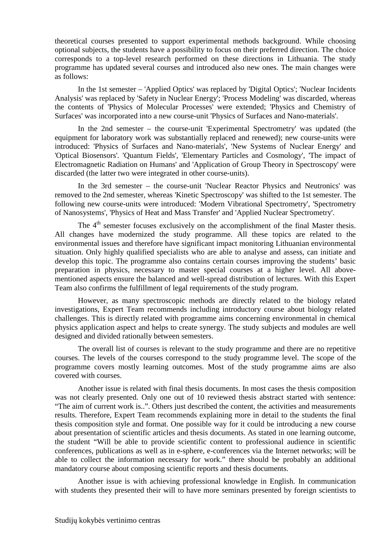theoretical courses presented to support experimental methods background. While choosing optional subjects, the students have a possibility to focus on their preferred direction. The choice corresponds to a top-level research performed on these directions in Lithuania. The study programme has updated several courses and introduced also new ones. The main changes were as follows:

In the 1st semester – 'Applied Optics' was replaced by 'Digital Optics'; 'Nuclear Incidents Analysis' was replaced by 'Safety in Nuclear Energy'; 'Process Modeling' was discarded, whereas the contents of 'Physics of Molecular Processes' were extended; 'Physics and Chemistry of Surfaces' was incorporated into a new course-unit 'Physics of Surfaces and Nano-materials'.

In the 2nd semester – the course-unit 'Experimental Spectrometry' was updated (the equipment for laboratory work was substantially replaced and renewed); new course-units were introduced: 'Physics of Surfaces and Nano-materials', 'New Systems of Nuclear Energy' and 'Optical Biosensors'. 'Quantum Fields', 'Elementary Particles and Cosmology', 'The impact of Electromagnetic Radiation on Humans' and 'Application of Group Theory in Spectroscopy' were discarded (the latter two were integrated in other course-units).

In the 3rd semester – the course-unit 'Nuclear Reactor Physics and Neutronics' was removed to the 2nd semester, whereas 'Kinetic Spectroscopy' was shifted to the 1st semester. The following new course-units were introduced: 'Modern Vibrational Spectrometry', 'Spectrometry of Nanosystems', 'Physics of Heat and Mass Transfer' and 'Applied Nuclear Spectrometry'.

The 4<sup>th</sup> semester focuses exclusively on the accomplishment of the final Master thesis. All changes have modernized the study programme. All these topics are related to the environmental issues and therefore have significant impact monitoring Lithuanian environmental situation. Only highly qualified specialists who are able to analyse and assess, can initiate and develop this topic. The programme also contains certain courses improving the students' basic preparation in physics, necessary to master special courses at a higher level. All abovementioned aspects ensure the balanced and well-spread distribution of lectures. With this Expert Team also confirms the fulfillment of legal requirements of the study program.

However, as many spectroscopic methods are directly related to the biology related investigations, Expert Team recommends including introductory course about biology related challenges. This is directly related with programme aims concerning environmental in chemical physics application aspect and helps to create synergy. The study subjects and modules are well designed and divided rationally between semesters.

The overall list of courses is relevant to the study programme and there are no repetitive courses. The levels of the courses correspond to the study programme level. The scope of the programme covers mostly learning outcomes. Most of the study programme aims are also covered with courses.

Another issue is related with final thesis documents. In most cases the thesis composition was not clearly presented. Only one out of 10 reviewed thesis abstract started with sentence: "The aim of current work is..". Others just described the content, the activities and measurements results. Therefore, Expert Team recommends explaining more in detail to the students the final thesis composition style and format. One possible way for it could be introducing a new course about presentation of scientific articles and thesis documents. As stated in one learning outcome, the student "Will be able to provide scientific content to professional audience in scientific conferences, publications as well as in e-sphere, e-conferences via the Internet networks; will be able to collect the information necessary for work." there should be probably an additional mandatory course about composing scientific reports and thesis documents.

Another issue is with achieving professional knowledge in English. In communication with students they presented their will to have more seminars presented by foreign scientists to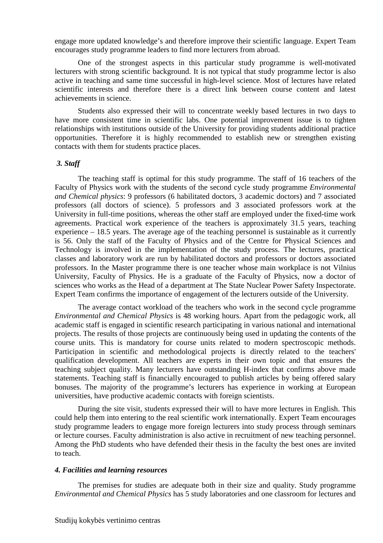engage more updated knowledge's and therefore improve their scientific language. Expert Team encourages study programme leaders to find more lecturers from abroad.

One of the strongest aspects in this particular study programme is well-motivated lecturers with strong scientific background. It is not typical that study programme lector is also active in teaching and same time successful in high-level science. Most of lectures have related scientific interests and therefore there is a direct link between course content and latest achievements in science.

Students also expressed their will to concentrate weekly based lectures in two days to have more consistent time in scientific labs. One potential improvement issue is to tighten relationships with institutions outside of the University for providing students additional practice opportunities. Therefore it is highly recommended to establish new or strengthen existing contacts with them for students practice places.

#### *3. Staff*

The teaching staff is optimal for this study programme. The staff of 16 teachers of the Faculty of Physics work with the students of the second cycle study programme *Environmental and Chemical physics*: 9 professors (6 habilitated doctors, 3 academic doctors) and 7 associated professors (all doctors of science). 5 professors and 3 associated professors work at the University in full-time positions, whereas the other staff are employed under the fixed-time work agreements. Practical work experience of the teachers is approximately 31.5 years, teaching experience – 18.5 years. The average age of the teaching personnel is sustainable as it currently is 56. Only the staff of the Faculty of Physics and of the Centre for Physical Sciences and Technology is involved in the implementation of the study process. The lectures, practical classes and laboratory work are run by habilitated doctors and professors or doctors associated professors. In the Master programme there is one teacher whose main workplace is not Vilnius University, Faculty of Physics. He is a graduate of the Faculty of Physics, now a doctor of sciences who works as the Head of a department at The State Nuclear Power Safety Inspectorate. Expert Team confirms the importance of engagement of the lecturers outside of the University.

The average contact workload of the teachers who work in the second cycle programme *Environmental and Chemical Physics* is 48 working hours. Apart from the pedagogic work, all academic staff is engaged in scientific research participating in various national and international projects. The results of those projects are continuously being used in updating the contents of the course units. This is mandatory for course units related to modern spectroscopic methods. Participation in scientific and methodological projects is directly related to the teachers' qualification development. All teachers are experts in their own topic and that ensures the teaching subject quality. Many lecturers have outstanding H-index that confirms above made statements. Teaching staff is financially encouraged to publish articles by being offered salary bonuses. The majority of the programme's lecturers has experience in working at European universities, have productive academic contacts with foreign scientists.

During the site visit, students expressed their will to have more lectures in English. This could help them into entering to the real scientific work internationally. Expert Team encourages study programme leaders to engage more foreign lecturers into study process through seminars or lecture courses. Faculty administration is also active in recruitment of new teaching personnel. Among the PhD students who have defended their thesis in the faculty the best ones are invited to teach.

#### *4. Facilities and learning resources*

The premises for studies are adequate both in their size and quality. Study programme *Environmental and Chemical Physics* has 5 study laboratories and one classroom for lectures and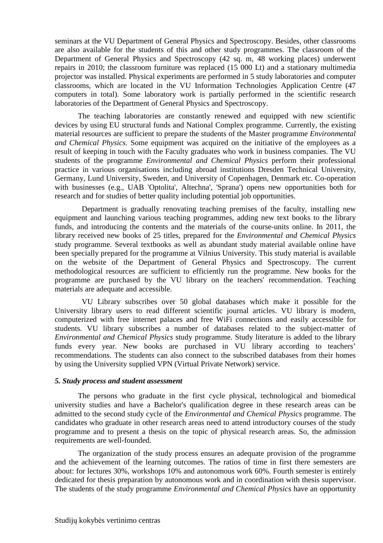seminars at the VU Department of General Physics and Spectroscopy. Besides, other classrooms are also available for the students of this and other study programmes. The classroom of the Department of General Physics and Spectroscopy (42 sq. m, 48 working places) underwent repairs in 2010; the classroom furniture was replaced (15 000 Lt) and a stationary multimedia projector was installed. Physical experiments are performed in 5 study laboratories and computer classrooms, which are located in the VU Information Technologies Application Centre (47 computers in total). Some laboratory work is partially performed in the scientific research laboratories of the Department of General Physics and Spectroscopy.

The teaching laboratories are constantly renewed and equipped with new scientific devices by using EU structural funds and National Complex programme. Currently, the existing material resources are sufficient to prepare the students of the Master programme *Environmental and Chemical Physics*. Some equipment was acquired on the initiative of the employees as a result of keeping in touch with the Faculty graduates who work in business companies. The VU students of the programme *Environmental and Chemical Physics* perform their professional practice in various organisations including abroad institutions Dresden Technical University, Germany, Lund University, Sweden, and University of Copenhagen, Denmark etc. Co-operation with businesses (e.g., UAB 'Optolita', Altechna', 'Sprana') opens new opportunities both for research and for studies of better quality including potential job opportunities.

 Department is gradually renovating teaching premises of the faculty, installing new equipment and launching various teaching programmes, adding new text books to the library funds, and introducing the contents and the materials of the course-units online. In 2011, the library received new books of 25 titles, prepared for the *Environmental and Chemical Physics* study programme. Several textbooks as well as abundant study material available online have been specially prepared for the programme at Vilnius University. This study material is available on the website of the Department of General Physics and Spectroscopy. The current methodological resources are sufficient to efficiently run the programme. New books for the programme are purchased by the VU library on the teachers' recommendation. Teaching materials are adequate and accessible.

 VU Library subscribes over 50 global databases which make it possible for the University library users to read different scientific journal articles. VU library is modern, computerized with free internet palaces and free WiFi connections and easily accessible for students. VU library subscribes a number of databases related to the subject-matter of *Environmental and Chemical Physics* study programme. Study literature is added to the library funds every year. New books are purchased in VU library according to teachers' recommendations. The students can also connect to the subscribed databases from their homes by using the University supplied VPN (Virtual Private Network) service.

#### *5. Study process and student assessment*

The persons who graduate in the first cycle physical, technological and biomedical university studies and have a Bachelor's qualification degree in these research areas can be admitted to the second study cycle of the *Environmental and Chemical Physics* programme. The candidates who graduate in other research areas need to attend introductory courses of the study programme and to present a thesis on the topic of physical research areas. So, the admission requirements are well-founded.

The organization of the study process ensures an adequate provision of the programme and the achievement of the learning outcomes. The ratios of time in first there semesters are about: for lectures 30%, workshops 10% and autonomous work 60%. Fourth semester is entirely dedicated for thesis preparation by autonomous work and in coordination with thesis supervisor. The students of the study programme *Environmental and Chemical Physics* have an opportunity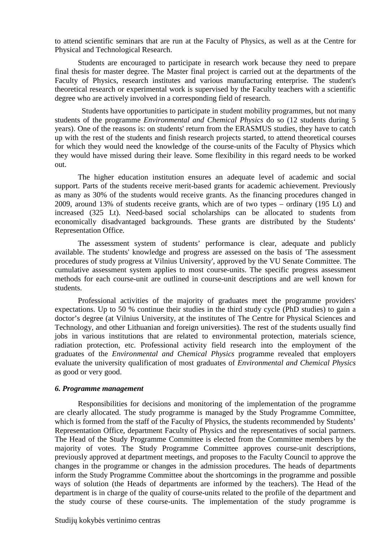to attend scientific seminars that are run at the Faculty of Physics, as well as at the Centre for Physical and Technological Research.

Students are encouraged to participate in research work because they need to prepare final thesis for master degree. The Master final project is carried out at the departments of the Faculty of Physics, research institutes and various manufacturing enterprise. The student's theoretical research or experimental work is supervised by the Faculty teachers with a scientific degree who are actively involved in a corresponding field of research.

 Students have opportunities to participate in student mobility programmes, but not many students of the programme *Environmental and Chemical Physics* do so (12 students during 5 years). One of the reasons is: on students' return from the ERASMUS studies, they have to catch up with the rest of the students and finish research projects started, to attend theoretical courses for which they would need the knowledge of the course-units of the Faculty of Physics which they would have missed during their leave. Some flexibility in this regard needs to be worked out.

The higher education institution ensures an adequate level of academic and social support. Parts of the students receive merit-based grants for academic achievement. Previously as many as 30% of the students would receive grants. As the financing procedures changed in 2009, around 13% of students receive grants, which are of two types – ordinary (195 Lt) and increased (325 Lt). Need-based social scholarships can be allocated to students from economically disadvantaged backgrounds. These grants are distributed by the Students' Representation Office.

The assessment system of students' performance is clear, adequate and publicly available. The students' knowledge and progress are assessed on the basis of 'The assessment procedures of study progress at Vilnius University', approved by the VU Senate Committee. The cumulative assessment system applies to most course-units. The specific progress assessment methods for each course-unit are outlined in course-unit descriptions and are well known for students.

Professional activities of the majority of graduates meet the programme providers' expectations. Up to 50 % continue their studies in the third study cycle (PhD studies) to gain a doctor's degree (at Vilnius University, at the institutes of The Centre for Physical Sciences and Technology, and other Lithuanian and foreign universities). The rest of the students usually find jobs in various institutions that are related to environmental protection, materials science, radiation protection, etc. Professional activity field research into the employment of the graduates of the *Environmental and Chemical Physics* programme revealed that employers evaluate the university qualification of most graduates of *Environmental and Chemical Physics* as good or very good.

#### *6. Programme management*

Responsibilities for decisions and monitoring of the implementation of the programme are clearly allocated. The study programme is managed by the Study Programme Committee, which is formed from the staff of the Faculty of Physics, the students recommended by Students' Representation Office, department Faculty of Physics and the representatives of social partners. The Head of the Study Programme Committee is elected from the Committee members by the majority of votes. The Study Programme Committee approves course-unit descriptions, previously approved at department meetings, and proposes to the Faculty Council to approve the changes in the programme or changes in the admission procedures. The heads of departments inform the Study Programme Committee about the shortcomings in the programme and possible ways of solution (the Heads of departments are informed by the teachers). The Head of the department is in charge of the quality of course-units related to the profile of the department and the study course of these course-units. The implementation of the study programme is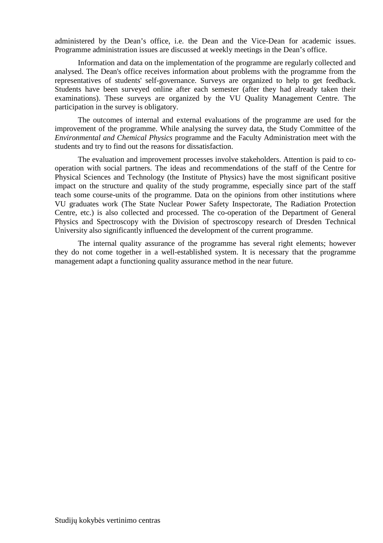administered by the Dean's office, i.e. the Dean and the Vice-Dean for academic issues. Programme administration issues are discussed at weekly meetings in the Dean's office.

Information and data on the implementation of the programme are regularly collected and analysed. The Dean's office receives information about problems with the programme from the representatives of students' self-governance. Surveys are organized to help to get feedback. Students have been surveyed online after each semester (after they had already taken their examinations). These surveys are organized by the VU Quality Management Centre. The participation in the survey is obligatory.

The outcomes of internal and external evaluations of the programme are used for the improvement of the programme. While analysing the survey data, the Study Committee of the *Environmental and Chemical Physics* programme and the Faculty Administration meet with the students and try to find out the reasons for dissatisfaction.

The evaluation and improvement processes involve stakeholders. Attention is paid to cooperation with social partners. The ideas and recommendations of the staff of the Centre for Physical Sciences and Technology (the Institute of Physics) have the most significant positive impact on the structure and quality of the study programme, especially since part of the staff teach some course-units of the programme. Data on the opinions from other institutions where VU graduates work (The State Nuclear Power Safety Inspectorate, The Radiation Protection Centre, etc.) is also collected and processed. The co-operation of the Department of General Physics and Spectroscopy with the Division of spectroscopy research of Dresden Technical University also significantly influenced the development of the current programme.

The internal quality assurance of the programme has several right elements; however they do not come together in a well-established system. It is necessary that the programme management adapt a functioning quality assurance method in the near future.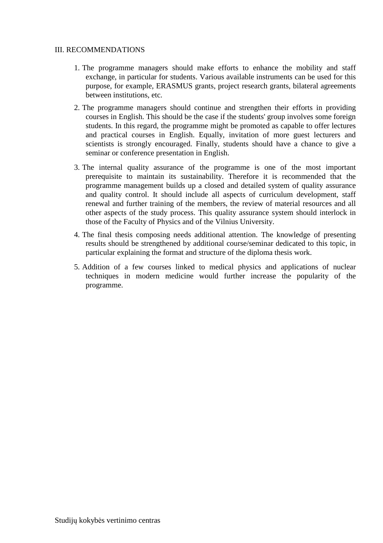#### III. RECOMMENDATIONS

- 1. The programme managers should make efforts to enhance the mobility and staff exchange, in particular for students. Various available instruments can be used for this purpose, for example, ERASMUS grants, project research grants, bilateral agreements between institutions, etc.
- 2. The programme managers should continue and strengthen their efforts in providing courses in English. This should be the case if the students' group involves some foreign students. In this regard, the programme might be promoted as capable to offer lectures and practical courses in English. Equally, invitation of more guest lecturers and scientists is strongly encouraged. Finally, students should have a chance to give a seminar or conference presentation in English.
- 3. The internal quality assurance of the programme is one of the most important prerequisite to maintain its sustainability. Therefore it is recommended that the programme management builds up a closed and detailed system of quality assurance and quality control. It should include all aspects of curriculum development, staff renewal and further training of the members, the review of material resources and all other aspects of the study process. This quality assurance system should interlock in those of the Faculty of Physics and of the Vilnius University.
- 4. The final thesis composing needs additional attention. The knowledge of presenting results should be strengthened by additional course/seminar dedicated to this topic, in particular explaining the format and structure of the diploma thesis work.
- 5. Addition of a few courses linked to medical physics and applications of nuclear techniques in modern medicine would further increase the popularity of the programme.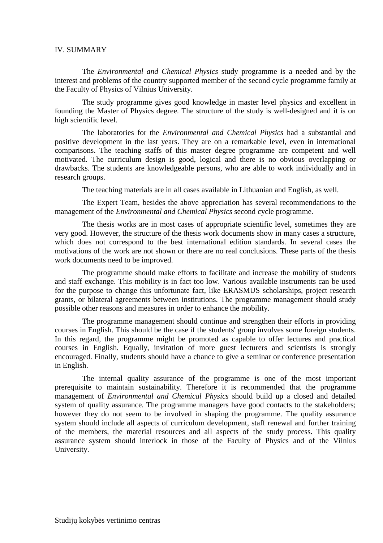#### IV. SUMMARY

The *Environmental and Chemical Physics* study programme is a needed and by the interest and problems of the country supported member of the second cycle programme family at the Faculty of Physics of Vilnius University.

The study programme gives good knowledge in master level physics and excellent in founding the Master of Physics degree. The structure of the study is well-designed and it is on high scientific level.

The laboratories for the *Environmental and Chemical Physics* had a substantial and positive development in the last years. They are on a remarkable level, even in international comparisons. The teaching staffs of this master degree programme are competent and well motivated. The curriculum design is good, logical and there is no obvious overlapping or drawbacks. The students are knowledgeable persons, who are able to work individually and in research groups.

The teaching materials are in all cases available in Lithuanian and English, as well.

The Expert Team, besides the above appreciation has several recommendations to the management of the *Environmental and Chemical Physics* second cycle programme.

The thesis works are in most cases of appropriate scientific level, sometimes they are very good. However, the structure of the thesis work documents show in many cases a structure, which does not correspond to the best international edition standards. In several cases the motivations of the work are not shown or there are no real conclusions. These parts of the thesis work documents need to be improved.

The programme should make efforts to facilitate and increase the mobility of students and staff exchange. This mobility is in fact too low. Various available instruments can be used for the purpose to change this unfortunate fact, like ERASMUS scholarships, project research grants, or bilateral agreements between institutions. The programme management should study possible other reasons and measures in order to enhance the mobility.

The programme management should continue and strengthen their efforts in providing courses in English. This should be the case if the students' group involves some foreign students. In this regard, the programme might be promoted as capable to offer lectures and practical courses in English. Equally, invitation of more guest lecturers and scientists is strongly encouraged. Finally, students should have a chance to give a seminar or conference presentation in English.

The internal quality assurance of the programme is one of the most important prerequisite to maintain sustainability. Therefore it is recommended that the programme management of *Environmental and Chemical Physics* should build up a closed and detailed system of quality assurance. The programme managers have good contacts to the stakeholders; however they do not seem to be involved in shaping the programme. The quality assurance system should include all aspects of curriculum development, staff renewal and further training of the members, the material resources and all aspects of the study process. This quality assurance system should interlock in those of the Faculty of Physics and of the Vilnius University.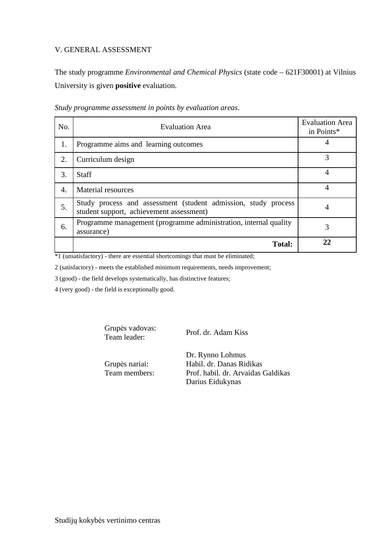### V. GENERAL ASSESSMENT

The study programme *Environmental and Chemical Physics* (state code – 621F30001) at Vilnius University is given **positive** evaluation.

| No. | <b>Evaluation Area</b>                                                                                     | <b>Evaluation Area</b><br>in Points* |
|-----|------------------------------------------------------------------------------------------------------------|--------------------------------------|
| 1.  | Programme aims and learning outcomes                                                                       |                                      |
| 2.  | Curriculum design                                                                                          | 3                                    |
| 3.  | <b>Staff</b>                                                                                               | $\overline{4}$                       |
| 4.  | <b>Material resources</b>                                                                                  | 4                                    |
| 5.  | Study process and assessment (student admission, study process<br>student support, achievement assessment) | 4                                    |
| 6.  | Programme management (programme administration, internal quality<br>assurance)                             | 3                                    |
|     | <b>Total:</b>                                                                                              | 22                                   |

*Study programme assessment in points by evaluation areas*.

\*1 (unsatisfactory) - there are essential shortcomings that must be eliminated;

2 (satisfactory) - meets the established minimum requirements, needs improvement;

3 (good) - the field develops systematically, has distinctive features;

4 (very good) - the field is exceptionally good.

Grupės vadovas:<br>Team leader:

Prof. dr. Adam Kiss

Grupės nariai: Team members: Dr. Rynno Lohmus Habil. dr. Danas Ridikas Prof. habil. dr. Arvaidas Galdikas Darius Eidukynas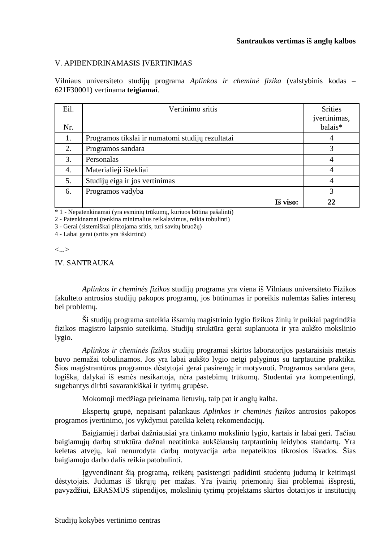#### V. APIBENDRINAMASIS ĮVERTINIMAS

Vilniaus universiteto studijų programa *Aplinkos ir cheminė fizika* (valstybinis kodas – 621F30001) vertinama **teigiamai**.

| Eil. | Vertinimo sritis                                 | <b>Srities</b><br>įvertinimas,<br>balais* |
|------|--------------------------------------------------|-------------------------------------------|
| Nr.  |                                                  |                                           |
| 1.   | Programos tikslai ir numatomi studijų rezultatai |                                           |
| 2.   | Programos sandara                                | 3                                         |
| 3.   | Personalas                                       |                                           |
| 4.   | Materialieji ištekliai                           |                                           |
| 5.   | Studijų eiga ir jos vertinimas                   |                                           |
| 6.   | Programos vadyba                                 | 3                                         |
|      | Iš viso:                                         | 22                                        |

\* 1 - Nepatenkinamai (yra esminių trūkumų, kuriuos būtina pašalinti)

2 - Patenkinamai (tenkina minimalius reikalavimus, reikia tobulinti)

3 - Gerai (sistemiškai plėtojama sritis, turi savitų bruožų)

4 - Labai gerai (sritis yra išskirtinė)

#### <...>

IV. SANTRAUKA

*Aplinkos ir cheminės fizikos* studijų programa yra viena iš Vilniaus universiteto Fizikos fakulteto antrosios studijų pakopos programų, jos būtinumas ir poreikis nulemtas šalies interesų bei problemų.

Ši studijų programa suteikia išsamių magistrinio lygio fizikos žinių ir puikiai pagrindžia fizikos magistro laipsnio suteikimą. Studijų struktūra gerai suplanuota ir yra aukšto mokslinio lygio.

*Aplinkos ir cheminės fizikos* studijų programai skirtos laboratorijos pastaraisiais metais buvo nemažai tobulinamos. Jos yra labai aukšto lygio netgi palyginus su tarptautine praktika. Šios magistrantūros programos dėstytojai gerai pasirengę ir motyvuoti. Programos sandara gera, logiška, dalykai iš esmės nesikartoja, nėra pastebimų trūkumų. Studentai yra kompetentingi, sugebantys dirbti savarankiškai ir tyrimų grupėse.

Mokomoji medžiaga prieinama lietuvių, taip pat ir anglų kalba.

Ekspertų grupė, nepaisant palankaus *Aplinkos ir cheminės fizikos* antrosios pakopos programos įvertinimo, jos vykdymui pateikia keletą rekomendacijų.

Baigiamieji darbai dažniausiai yra tinkamo mokslinio lygio, kartais ir labai geri. Tačiau baigiamųjų darbų struktūra dažnai neatitinka aukščiausių tarptautinių leidybos standartų. Yra keletas atvejų, kai nenurodyta darbų motyvacija arba nepateiktos tikrosios išvados. Šias baigiamojo darbo dalis reikia patobulinti.

Įgyvendinant šią programą, reikėtų pasistengti padidinti studentų judumą ir keitimąsi dėstytojais. Judumas iš tikrųjų per mažas. Yra įvairių priemonių šiai problemai išspręsti, pavyzdžiui, ERASMUS stipendijos, mokslinių tyrimų projektams skirtos dotacijos ir institucijų